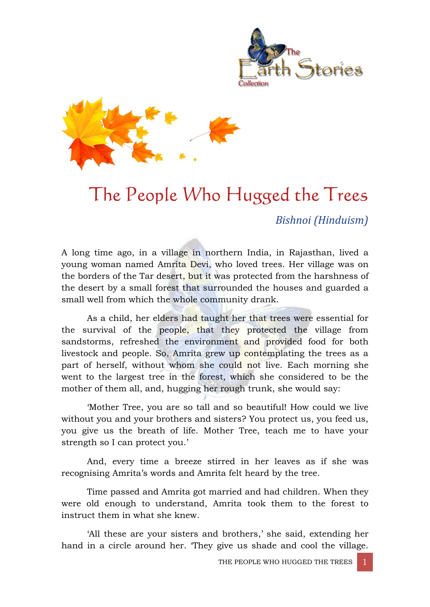



# The People Who Hugged the Trees

*Bishnoi (Hinduism)*

A long time ago, in a village in northern India, in Rajasthan, lived a young woman named Amrita Devi, who loved trees. Her village was on the borders of the Tar desert, but it was protected from the harshness of the desert by a small forest that surrounded the houses and guarded a small well from which the whole community drank.

As a child, her elders had taught her that trees were essential for the survival of the people, that they protected the village from sandstorms, refreshed the environment and provided food for both livestock and people. So, Amrita grew up contemplating the trees as a part of herself, without whom she could not live. Each morning she went to the largest tree in the forest, which she considered to be the mother of them all, and, hugging her rough trunk, she would say:

'Mother Tree, you are so tall and so beautiful! How could we live without you and your brothers and sisters? You protect us, you feed us, you give us the breath of life. Mother Tree, teach me to have your strength so I can protect you.'

And, every time a breeze stirred in her leaves as if she was recognising Amrita's words and Amrita felt heard by the tree.

Time passed and Amrita got married and had children. When they were old enough to understand, Amrita took them to the forest to instruct them in what she knew.

'All these are your sisters and brothers,' she said, extending her hand in a circle around her. 'They give us shade and cool the village.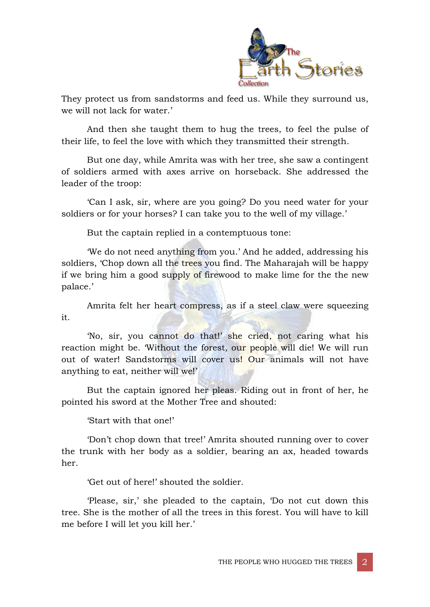

They protect us from sandstorms and feed us. While they surround us, we will not lack for water.'

And then she taught them to hug the trees, to feel the pulse of their life, to feel the love with which they transmitted their strength.

But one day, while Amrita was with her tree, she saw a contingent of soldiers armed with axes arrive on horseback. She addressed the leader of the troop:

'Can I ask, sir, where are you going? Do you need water for your soldiers or for your horses? I can take you to the well of my village.'

But the captain replied in a contemptuous tone:

'We do not need anything from you.' And he added, addressing his soldiers, 'Chop down all the trees you find. The Maharajah will be happy if we bring him a good supply of firewood to make lime for the the new palace.'

Amrita felt her heart compress, as if a steel claw were squeezing it.

'No, sir, you cannot do that!' she cried, not caring what his reaction might be. 'Without the forest, our people will die! We will run out of water! Sandstorms will cover us! Our animals will not have anything to eat, neither will we!'

But the captain ignored her pleas. Riding out in front of her, he pointed his sword at the Mother Tree and shouted:

'Start with that one!'

'Don't chop down that tree!' Amrita shouted running over to cover the trunk with her body as a soldier, bearing an ax, headed towards her.

'Get out of here!' shouted the soldier.

'Please, sir,' she pleaded to the captain, 'Do not cut down this tree. She is the mother of all the trees in this forest. You will have to kill me before I will let you kill her.'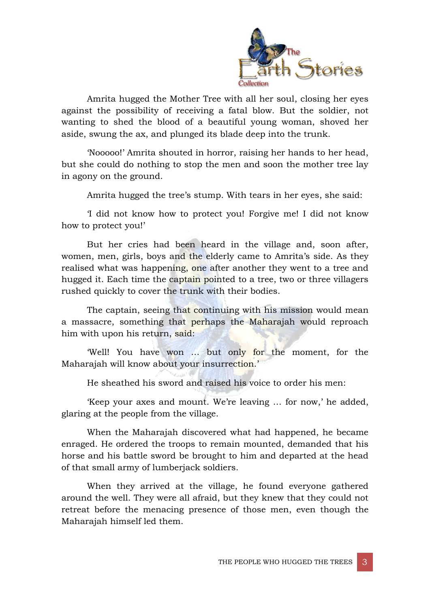

Amrita hugged the Mother Tree with all her soul, closing her eyes against the possibility of receiving a fatal blow. But the soldier, not wanting to shed the blood of a beautiful young woman, shoved her aside, swung the ax, and plunged its blade deep into the trunk.

'Nooooo!' Amrita shouted in horror, raising her hands to her head, but she could do nothing to stop the men and soon the mother tree lay in agony on the ground.

Amrita hugged the tree's stump. With tears in her eyes, she said:

'I did not know how to protect you! Forgive me! I did not know how to protect you!'

But her cries had been heard in the village and, soon after, women, men, girls, boys and the elderly came to Amrita's side. As they realised what was happening, one after another they went to a tree and hugged it. Each time the captain pointed to a tree, two or three villagers rushed quickly to cover the trunk with their bodies.

The captain, seeing that continuing with his mission would mean a massacre, something that perhaps the Maharajah would reproach him with upon his return, said:

'Well! You have won … but only for the moment, for the Maharajah will know about your insurrection.'

He sheathed his sword and raised his voice to order his men:

'Keep your axes and mount. We're leaving … for now,' he added, glaring at the people from the village.

When the Maharajah discovered what had happened, he became enraged. He ordered the troops to remain mounted, demanded that his horse and his battle sword be brought to him and departed at the head of that small army of lumberjack soldiers.

When they arrived at the village, he found everyone gathered around the well. They were all afraid, but they knew that they could not retreat before the menacing presence of those men, even though the Maharajah himself led them.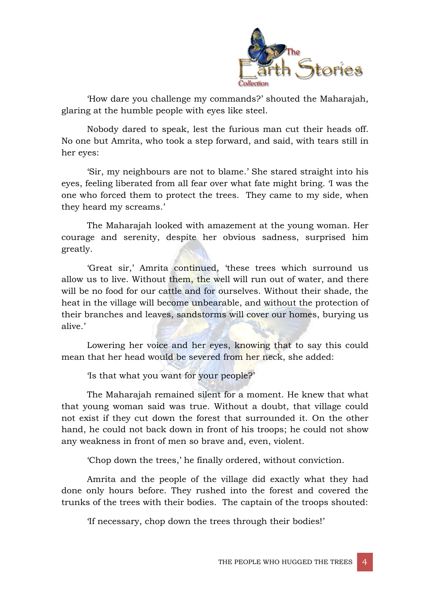

'How dare you challenge my commands?' shouted the Maharajah, glaring at the humble people with eyes like steel.

Nobody dared to speak, lest the furious man cut their heads off. No one but Amrita, who took a step forward, and said, with tears still in her eyes:

'Sir, my neighbours are not to blame.' She stared straight into his eyes, feeling liberated from all fear over what fate might bring. 'I was the one who forced them to protect the trees. They came to my side, when they heard my screams.'

The Maharajah looked with amazement at the young woman. Her courage and serenity, despite her obvious sadness, surprised him greatly.

'Great sir,' Amrita continued, 'these trees which surround us allow us to live. Without them, the well will run out of water, and there will be no food for our cattle and for ourselves. Without their shade, the heat in the village will become unbearable, and without the protection of their branches and leaves, sandstorms will cover our homes, burying us alive.'

Lowering her voice and her eyes, knowing that to say this could mean that her head would be severed from her neck, she added:

'Is that what you want for your people?'

The Maharajah remained silent for a moment. He knew that what that young woman said was true. Without a doubt, that village could not exist if they cut down the forest that surrounded it. On the other hand, he could not back down in front of his troops; he could not show any weakness in front of men so brave and, even, violent.

'Chop down the trees,' he finally ordered, without conviction.

Amrita and the people of the village did exactly what they had done only hours before. They rushed into the forest and covered the trunks of the trees with their bodies. The captain of the troops shouted:

'If necessary, chop down the trees through their bodies!'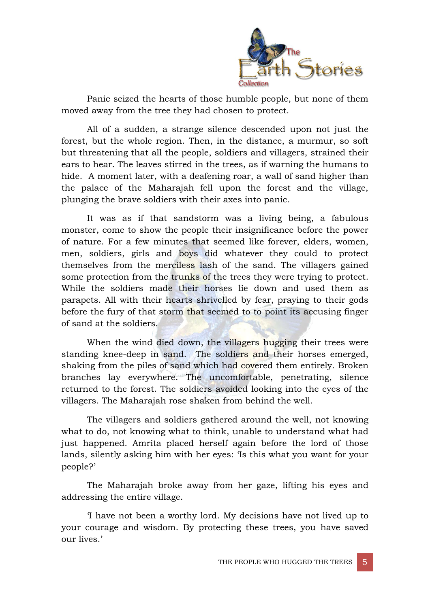

Panic seized the hearts of those humble people, but none of them moved away from the tree they had chosen to protect.

All of a sudden, a strange silence descended upon not just the forest, but the whole region. Then, in the distance, a murmur, so soft but threatening that all the people, soldiers and villagers, strained their ears to hear. The leaves stirred in the trees, as if warning the humans to hide. A moment later, with a deafening roar, a wall of sand higher than the palace of the Maharajah fell upon the forest and the village, plunging the brave soldiers with their axes into panic.

It was as if that sandstorm was a living being, a fabulous monster, come to show the people their insignificance before the power of nature. For a few minutes that seemed like forever, elders, women, men, soldiers, girls and boys did whatever they could to protect themselves from the merciless lash of the sand. The villagers gained some protection from the trunks of the trees they were trying to protect. While the soldiers made their horses lie down and used them as parapets. All with their hearts shrivelled by fear, praying to their gods before the fury of that storm that seemed to to point its accusing finger of sand at the soldiers.

When the wind died down, the villagers hugging their trees were standing knee-deep in sand. The soldiers and their horses emerged, shaking from the piles of sand which had covered them entirely. Broken branches lay everywhere. The uncomfortable, penetrating, silence returned to the forest. The soldiers avoided looking into the eyes of the villagers. The Maharajah rose shaken from behind the well.

The villagers and soldiers gathered around the well, not knowing what to do, not knowing what to think, unable to understand what had just happened. Amrita placed herself again before the lord of those lands, silently asking him with her eyes: 'Is this what you want for your people?'

The Maharajah broke away from her gaze, lifting his eyes and addressing the entire village.

'I have not been a worthy lord. My decisions have not lived up to your courage and wisdom. By protecting these trees, you have saved our lives.'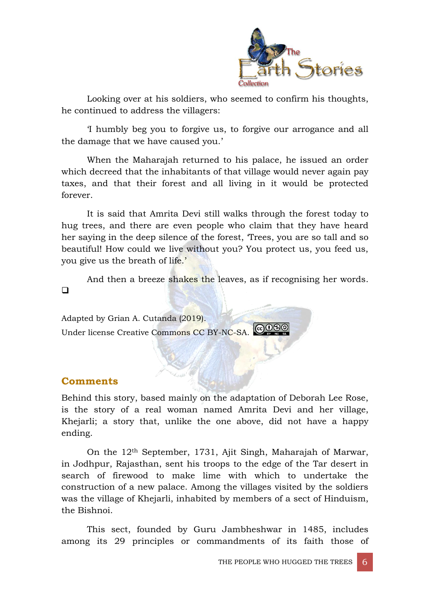

Looking over at his soldiers, who seemed to confirm his thoughts, he continued to address the villagers:

'I humbly beg you to forgive us, to forgive our arrogance and all the damage that we have caused you.'

When the Maharajah returned to his palace, he issued an order which decreed that the inhabitants of that village would never again pay taxes, and that their forest and all living in it would be protected forever.

It is said that Amrita Devi still walks through the forest today to hug trees, and there are even people who claim that they have heard her saying in the deep silence of the forest, 'Trees, you are so tall and so beautiful! How could we live without you? You protect us, you feed us, you give us the breath of life.'

And then a breeze shakes the leaves, as if recognising her words.  $\Box$ 

Adapted by Grian A. Cutanda (2019). <u>|@0®0</u> Under license Creative Commons CC BY-NC-SA.

#### **Comments**

Behind this story, based mainly on the adaptation of Deborah Lee Rose, is the story of a real woman named Amrita Devi and her village, Khejarli; a story that, unlike the one above, did not have a happy ending.

On the 12th September, 1731, Ajit Singh, Maharajah of Marwar, in Jodhpur, Rajasthan, sent his troops to the edge of the Tar desert in search of firewood to make lime with which to undertake the construction of a new palace. Among the villages visited by the soldiers was the village of Khejarli, inhabited by members of a sect of Hinduism, the Bishnoi.

This sect, founded by Guru Jambheshwar in 1485, includes among its 29 principles or commandments of its faith those of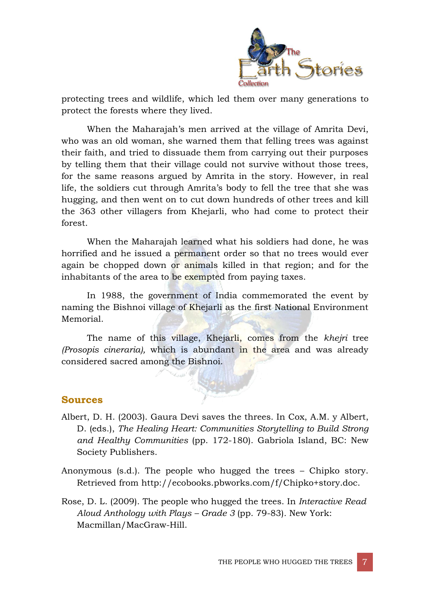

protecting trees and wildlife, which led them over many generations to protect the forests where they lived.

When the Maharajah's men arrived at the village of Amrita Devi, who was an old woman, she warned them that felling trees was against their faith, and tried to dissuade them from carrying out their purposes by telling them that their village could not survive without those trees, for the same reasons argued by Amrita in the story. However, in real life, the soldiers cut through Amrita's body to fell the tree that she was hugging, and then went on to cut down hundreds of other trees and kill the 363 other villagers from Khejarli, who had come to protect their forest.

When the Maharajah learned what his soldiers had done, he was horrified and he issued a permanent order so that no trees would ever again be chopped down or animals killed in that region; and for the inhabitants of the area to be exempted from paying taxes.

In 1988, the government of India commemorated the event by naming the Bishnoi village of Khejarli as the first National Environment Memorial.

The name of this village, Khejarli, comes from the *khejri* tree *(Prosopis cineraria),* which is abundant in the area and was already considered sacred among the Bishnoi.

#### **Sources**

- Albert, D. H. (2003). Gaura Devi saves the threes. In Cox, A.M. y Albert, D. (eds.), *The Healing Heart: Communities Storytelling to Build Strong and Healthy Communities* (pp. 172-180). Gabriola Island, BC: New Society Publishers.
- Anonymous (s.d.). The people who hugged the trees Chipko story. Retrieved from http://ecobooks.pbworks.com/f/Chipko+story.doc.
- Rose, D. L. (2009). The people who hugged the trees. In *Interactive Read Aloud Anthology with Plays – Grade 3* (pp. 79-83)*.* New York: Macmillan/MacGraw-Hill.